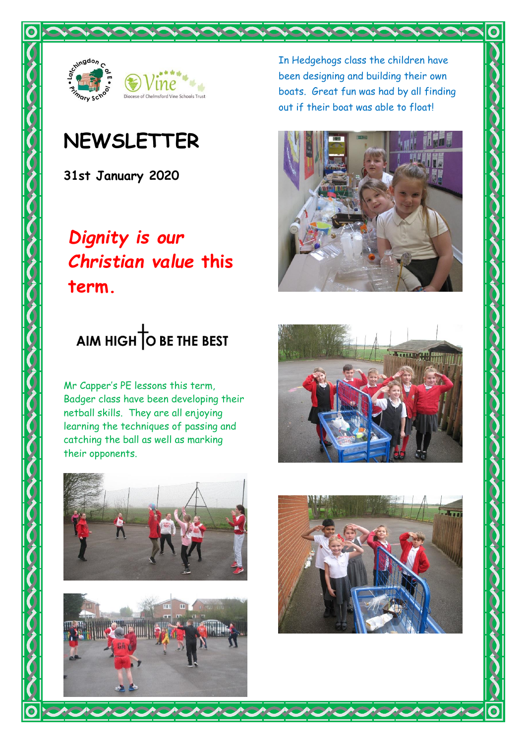



## **NEWSLETTER**

**31st January 2020**

## *Dignity is our Christian value* **this term.**

In Hedgehogs class the children have been designing and building their own boats. Great fun was had by all finding out if their boat was able to float!



# AIM HIGH O BE THE BEST

Mr Capper's PE lessons this term, Badger class have been developing their netball skills. They are all enjoying learning the techniques of passing and catching the ball as well as marking their opponents.







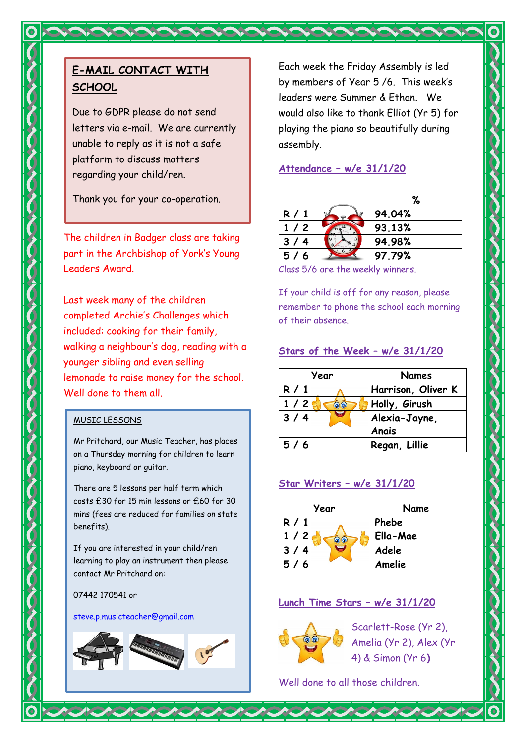### **E-MAIL CONTACT WITH SCHOOL**

 $\blacksquare$  unable to reply as it is not a safe  $\blacksquare$  platform to discuss matters regarding your child/ren. Due to GDPR please do not send letters via e-mail. We are currently

Thank you for your co-operation.

The children in Badger class are taking part in the Archbishop of York's Young Leaders Award.

Last week many of the children completed Archie's Challenges which included: cooking for their family, walking a neighbour's dog, reading with a younger sibling and even selling lemonade to raise money for the school. Well done to them all.

#### MUSIC LESSONS

Mr Pritchard, our Music Teacher, has places on a Thursday morning for children to learn piano, keyboard or guitar.

There are 5 lessons per half term which costs £30 for 15 min lessons or £60 for 30 mins (fees are reduced for families on state benefits).

If you are interested in your child/ren learning to play an instrument then please contact Mr Pritchard on:

#### 07442 170541 or

#### [steve.p.musicteacher@gmail.com](mailto:steve.p.musicteacher@gmail.com)



Each week the Friday Assembly is led by members of Year 5 /6. This week's leaders were Summer & Ethan. We would also like to thank Elliot (Yr 5) for playing the piano so beautifully during assembly.

#### **Attendance – w/e 31/1/20**

|       | ℅      |
|-------|--------|
| R / 1 | 94.04% |
| 1/2   | 93.13% |
| 3/4   | 94.98% |
| 5/6   | 97.79% |

Class 5/6 are the weekly winners.

If your child is off for any reason, please remember to phone the school each morning of their absence.

#### **Stars of the Week – w/e 31/1/20**

| Year     | <b>Names</b>       |
|----------|--------------------|
| R/1      | Harrison, Oliver K |
| 1/2<br>ெ | Holly, Girush      |
| 3/4      | Alexia-Jayne,      |
|          | Anais              |
| 5/6      | Regan, Lillie      |

#### **Star Writers – w/e 31/1/20**

| Year     | Name     |
|----------|----------|
| R/1      | Phebe    |
| 1/2<br>6 | Ella-Mae |
| 3/4      | Adele    |
| 5/6      | Amelie   |

#### **Lunch Time Stars – w/e 31/1/20**



Scarlett-Rose (Yr 2), Amelia (Yr 2), Alex (Yr 4) & Simon (Yr 6**)**

Well done to all those children.